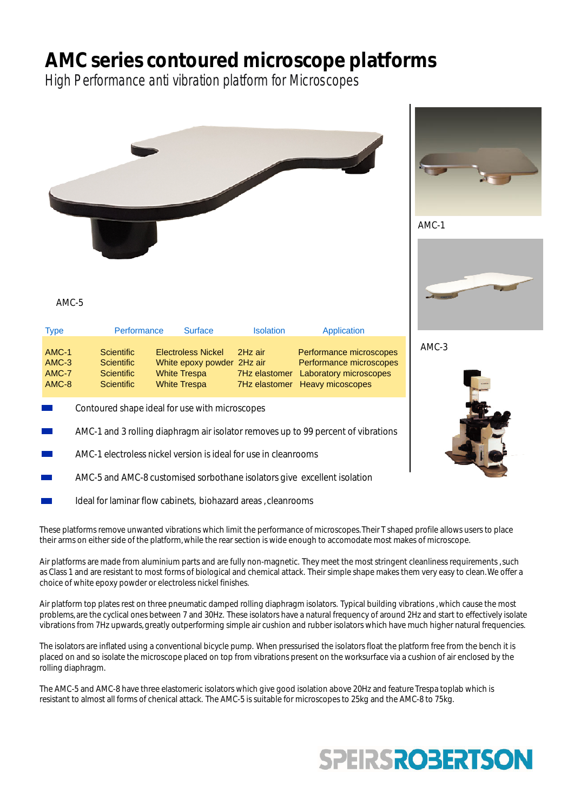## **AMC series contoured microscope platforms**

High Performance anti vibration platform for Microscopes



AMC-5

| <b>Type</b>      | Performance              | <b>Surface</b>                                    | <b>Isolation</b> | Application                                              |
|------------------|--------------------------|---------------------------------------------------|------------------|----------------------------------------------------------|
| $AMC-1$          | <b>Scientific</b>        | <b>Electroless Nickel</b>                         | 2Hz air          | Performance microscopes                                  |
| $AMC-3$<br>AMC-7 | Scientific<br>Scientific | White epoxy powder 2Hz air<br><b>White Trespa</b> | 7Hz elastomer    | Performance microscopes<br><b>Laboratory microscopes</b> |
| AMC-8            | Scientific               | <b>White Trespa</b>                               |                  | 7Hz elastomer Heavy micoscopes                           |

- Contoured shape ideal for use with microscopes
- AMC-1 and 3 rolling diaphragm air isolator removes up to 99 percent of vibrations
- AMC-1 electroless nickel version is ideal for use in cleanrooms
- AMC-5 and AMC-8 customised sorbothane isolators give excellent isolation
- Ideal for laminar flow cabinets, biohazard areas , cleanrooms

These platforms remove unwanted vibrations which limit the performance of microscopes.Their T shaped profile allows users to place their arms on either side of the platform,while the rear section is wide enough to accomodate most makes of microscope.

Air platforms are made from aluminium parts and are fully non-magnetic. They meet the most stringent cleanliness requirements , such as Class 1 and are resistant to most forms of biological and chemical attack. Their simple shape makes them very easy to clean.We offer a choice of white epoxy powder or electroless nickel finishes.

Air platform top plates rest on three pneumatic damped rolling diaphragm isolators. Typical building vibrations , which cause the most problems, are the cyclical ones between 7 and 30Hz. These isolators have a natural frequency of around 2Hz and start to effectively isolate vibrations from 7Hz upwards, greatly outperforming simple air cushion and rubber isolators which have much higher natural frequencies.

The isolators are inflated using a conventional bicycle pump. When pressurised the isolators float the platform free from the bench it is placed on and so isolate the microscope placed on top from vibrations present on the worksurface via a cushion of air enclosed by the rolling diaphragm.

The AMC-5 and AMC-8 have three elastomeric isolators which give good isolation above 20Hz and feature Trespa toplab which is resistant to almost all forms of chenical attack. The AMC-5 is suitable for microscopes to 25kg and the AMC-8 to 75kg.





AMC-3